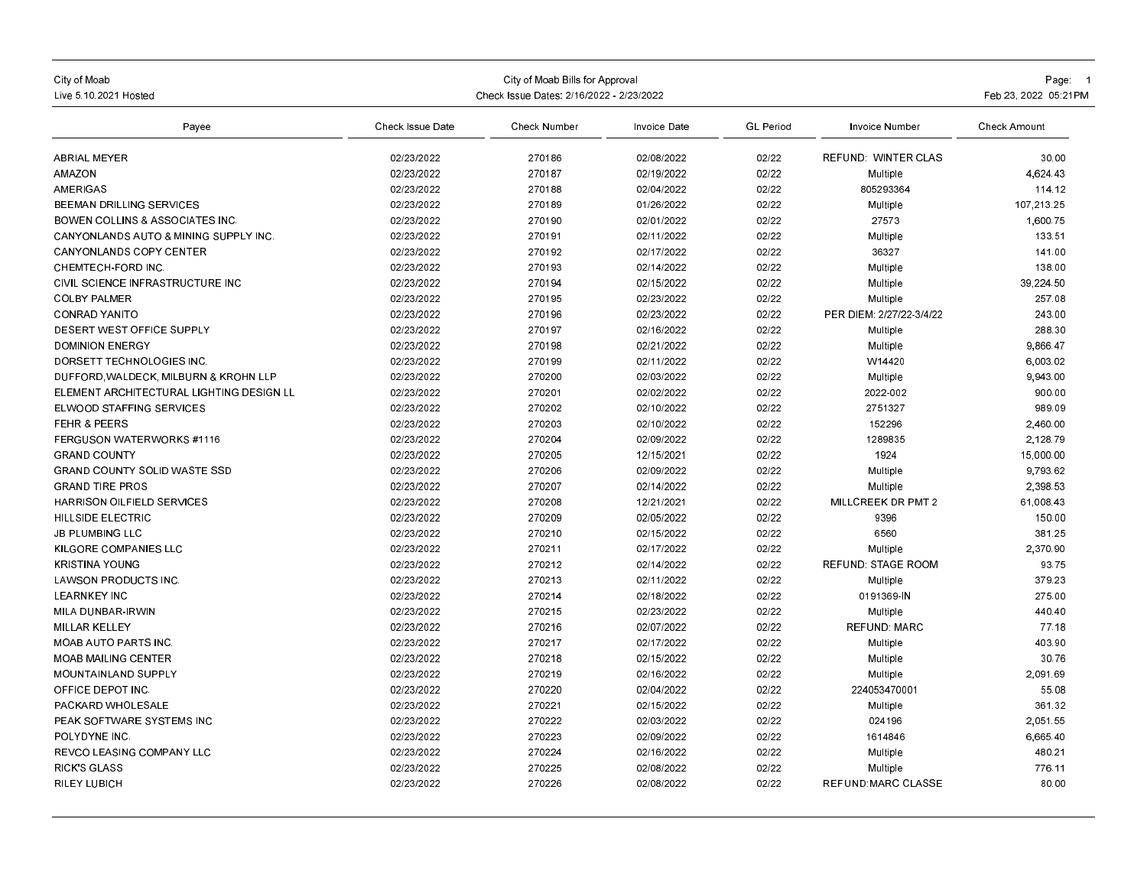| City of Moab<br>Live 5 10 2021 Hosted           | Check Issue Dates: 2/16/2022 - 2/23/2022 | Page: 1<br>Feb 23, 2022 05:21 PM |                          |                  |                           |                     |
|-------------------------------------------------|------------------------------------------|----------------------------------|--------------------------|------------------|---------------------------|---------------------|
| Payee                                           | <b>Check Issue Date</b>                  | Check Number                     | Invoice Date             | <b>GL</b> Period | Invoice Number            | <b>Check Amount</b> |
| <b>ABRIAL MEYER</b>                             | 02/23/2022                               | 270186                           | 02/08/2022               | 02/22            | REFUND WINTER CLAS        | 30.00               |
| <b>AMAZON</b>                                   | 02/23/2022                               | 270187                           | 02/19/2022               | 02/22            | Multiple                  | 4.624.43            |
| AMERIGAS                                        | 02/23/2022                               | 270188                           | 02/04/2022               | 02/22            | 805293364                 | 114.12              |
| <b>BEEMAN DRILLING SERVICES</b>                 | 02/23/2022                               | 270189                           | 01/26/2022               | 02/22            | Multiple                  | 107.213.25          |
| <b>BOWEN COLLINS &amp; ASSOCIATES INC.</b>      | 02/23/2022                               | 270190                           | 02/01/2022               | 02/22            | 27573                     | 1,600.75            |
| <b>CANYONLANDS AUTO &amp; MINING SUPPLY INC</b> | 02/23/2022                               | 270191                           | 02/11/2022               | 02/22            | Multiple                  | 133.51              |
| <b>CANYONLANDS COPY CENTER</b>                  | 02/23/2022                               | 270192                           | 02/17/2022               | 02/22            | 36327                     | 141.00              |
| CHEMTECH-FORD INC.                              | 02/23/2022                               | 270193                           | 02/14/2022               | 02/22            | Multiple                  | 138.00              |
| CIVIL SCIENCE INFRASTRUCTURE INC                | 02/23/2022                               | 270194                           | 02/15/2022               | 02/22            | Multiple                  | 39.224.50           |
| <b>COLBY PALMER</b>                             | 02/23/2022                               | 270195                           | 02/23/2022               | 02/22            | Multiple                  | 257.08              |
| <b>CONRAD YANITO</b>                            | 02/23/2022                               | 270196                           | 02/23/2022               | 02/22            | PER DIEM: 2/27/22-3/4/22  | 243.00              |
| <b>DESERT WEST OFFICE SUPPLY</b>                | 02/23/2022                               | 270197                           | 02/16/2022               | 02/22            | Multiple                  | 288.30              |
| <b>DOMINION ENERGY</b>                          | 02/23/2022                               | 270198                           | 02/21/2022               | 02/22            | Multiple                  | 9,866.47            |
| DORSETT TECHNOLOGIES INC                        | 02/23/2022                               | 270199                           | 02/11/2022               | 02/22            | W14420                    | 6.003.02            |
| DUFFORD WALDECK, MILBURN & KROHN LLP            | 02/23/2022                               | 270200                           | 02/03/2022               | 02/22            | Multiple                  | 9,943.00            |
| ELEMENT ARCHITECTURAL LIGHTING DESIGN LL        | 02/23/2022                               | 270201                           | 02/02/2022               | 02/22            | 2022-002                  | 900.00              |
| ELWOOD STAFFING SERVICES                        | 02/23/2022                               | 270202                           | 02/10/2022               | 02/22            | 2751327                   | 989.09              |
| <b>FEHR &amp; PEERS</b>                         | 02/23/2022                               | 270203                           | 02/10/2022               | 02/22            | 152296                    | 2.460.00            |
| <b>FERGUSON WATERWORKS #1116</b>                | 02/23/2022                               | 270204                           | 02/09/2022               | 02/22            | 1289835                   | 2,128.79            |
| <b>GRAND COUNTY</b>                             | 02/23/2022                               | 270205                           | 12/15/2021               | 02/22            | 1924                      | 15,000.00           |
| <b>GRAND COUNTY SOLID WASTE SSD</b>             | 02/23/2022                               | 270206                           | 02/09/2022               | 02/22            | Multiple                  | 9,793.62            |
| <b>GRAND TIRE PROS</b>                          | 02/23/2022                               | 270207                           | 02/14/2022               | 02/22            | Multiple                  | 2,398.53            |
| HARRISON OILFIELD SERVICES                      | 02/23/2022                               | 270208                           | 12/21/2021               | 02/22            | MILLCREEK DR PMT 2        | 61,008.43           |
| <b>HILLSIDE ELECTRIC</b>                        | 02/23/2022                               | 270209                           | 02/05/2022               | 02/22            | 9396                      | 150.00              |
| <b>JB PLUMBING LLC</b>                          | 02/23/2022                               | 270210                           | 02/15/2022               | 02/22            | 6560                      | 381.25              |
| KILGORE COMPANIES LLC                           | 02/23/2022                               | 270211                           | 02/17/2022               | 02/22            | Multiple                  | 2,370.90            |
| <b>KRISTINA YOUNG</b>                           | 02/23/2022                               | 270212                           | 02/14/2022               | 02/22            | <b>REFUND: STAGE ROOM</b> | 93.75               |
| <b>LAWSON PRODUCTS INC</b>                      | 02/23/2022                               | 270213                           | 02/11/2022               | 02/22            | Multiple                  | 379 23              |
| <b>LEARNKEY INC</b>                             | 02/23/2022                               | 270214                           | 02/18/2022               | 02/22            | 0191369-IN                | 275.00              |
| MILA DUNBAR-IRWIN                               | 02/23/2022                               | 270215                           | 02/23/2022               | 02/22            | Multiple                  | 440.40              |
| MILLAR KELLEY                                   | 02/23/2022                               | 270216                           | 02/07/2022               | 02/22            | <b>REFUND: MARC</b>       | 77.18               |
| <b>MOAB AUTO PARTS INC</b>                      | 02/23/2022                               | 270217                           | 02/17/2022               | 02/22            | Multiple                  | 403.90              |
| <b>MOAB MAILING CENTER</b>                      | 02/23/2022                               | 270218                           | 02/15/2022               | 02/22            | Multiple                  | 30.76               |
| MOUNTAINLAND SUPPLY                             | 02/23/2022                               | 270219                           | 02/16/2022               | 02/22            | Multiple                  | 2,091.69            |
| OFFICE DEPOT INC                                | 02/23/2022                               | 270220                           | 02/04/2022               | 02/22            | 224 0534 70001            | 55.08               |
| PACKARD WHOLESALE                               | 02/23/2022                               | 270221                           | 02/15/2022               | 02/22            |                           | 361.32              |
| PEAK SOFTWARE SYSTEMS INC                       | 02/23/2022                               | 270222                           | 02/03/2022               | 02/22            | Multiple<br>024196        | 2,051.55            |
|                                                 | 02/23/2022                               | 270223                           |                          |                  |                           |                     |
| POLYDYNE INC                                    |                                          |                                  | 02/09/2022               | 02/22            | 1614846                   | 6,665.40            |
| <b>REVCO LEASING COMPANY LLC</b>                | 02/23/2022<br>02/23/2022                 | 270224<br>270225                 | 02/16/2022<br>02/08/2022 | 02/22            | Multiple                  | 480.21<br>776.11    |
| <b>RICK'S GLASS</b>                             |                                          |                                  |                          | 02/22            | Multiple                  |                     |
| <b>RILEY LUBICH</b>                             | 02/23/2022                               | 270226                           | 02/08/2022               | 02/22            | <b>REFUND MARC CLASSE</b> | 80.00               |